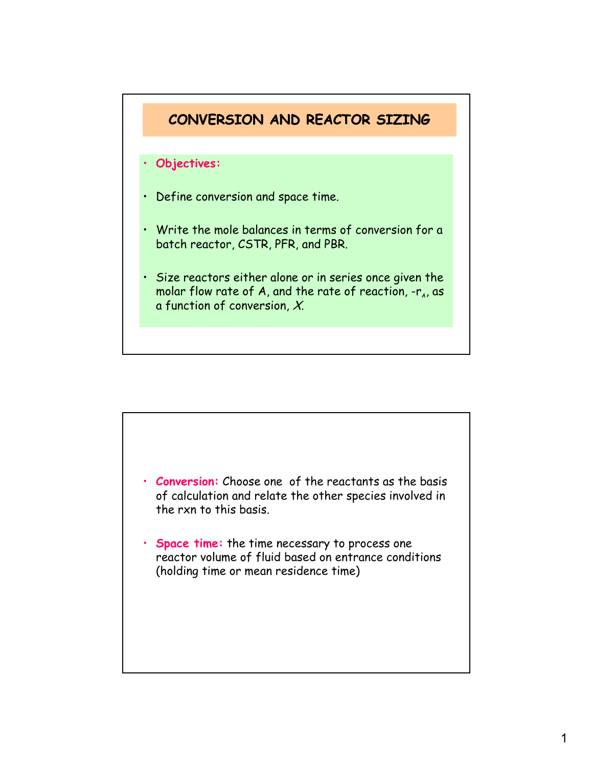

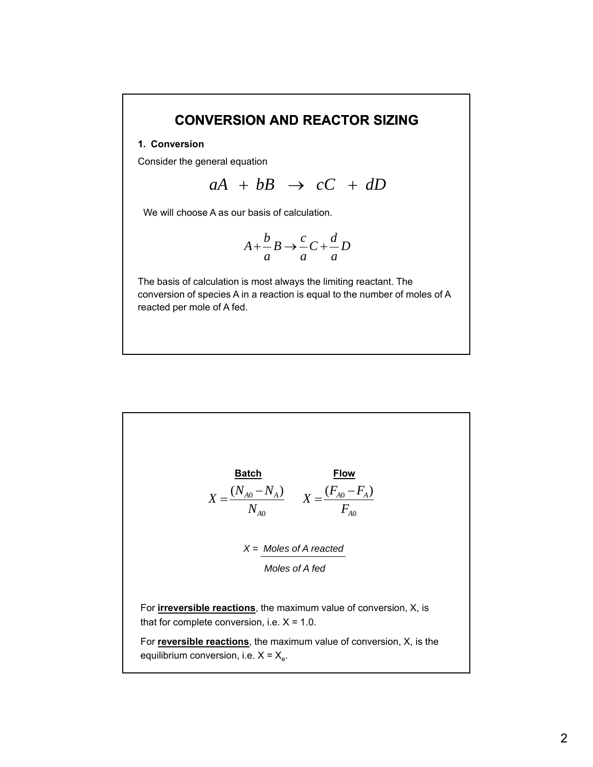# **CONVERSION AND REACTOR SIZING**

### **1. Conversion**

Consider the general equation

 $aA + bB \rightarrow cC + dD$ 

We will choose A as our basis of calculation.

$$
A + \frac{b}{a}B \to \frac{c}{a}C + \frac{d}{a}D
$$

The basis of calculation is most always the limiting reactant. The conversion of species A in a reaction is equal to the number of moles of A reacted per mole of A fed.

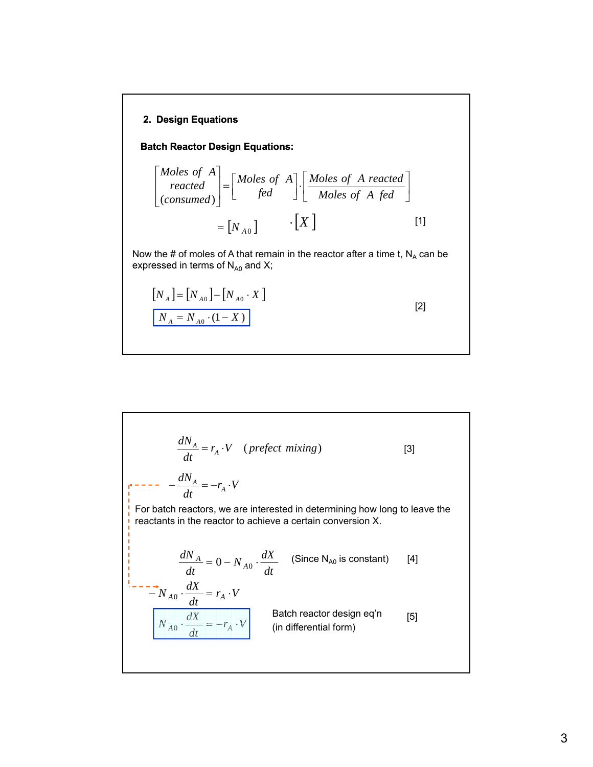# **2. Design Equations**

**Batch Reactor Design Equations:**

$$
\begin{bmatrix} Moles \ of \quad A \\ reacted \\ (consumed) \end{bmatrix} = \begin{bmatrix} Moles \ of \quad A \\ fed \end{bmatrix} \cdot \begin{bmatrix} Moles \ of \quad A \ reacted \\ Moles \ of \quad A \ fed \end{bmatrix}
$$

$$
= \begin{bmatrix} N_{A0} \end{bmatrix} \qquad \cdot \begin{bmatrix} X \end{bmatrix} \qquad [1]
$$

Now the # of moles of A that remain in the reactor after a time t,  $N_A$  can be expressed in terms of  $\mathsf{N}_{\mathsf{A}0}$  and X;

[2]

$$
[N_A] = [N_{A0}] - [N_{A0} \cdot X]
$$
  

$$
N_A = N_{A0} \cdot (1 - X)
$$

$$
\frac{dN_A}{dt} = r_A \cdot V \quad (prefect mixing)
$$
 [3]  
\n
$$
\frac{dN_A}{dt} = -r_A \cdot V
$$
 [For batch reactions, we are interested in determining how long to leave the  
\nreactants in the reactor to achieve a certain conversion X.  
\n
$$
\frac{dN_A}{dt} = 0 - N_{A0} \cdot \frac{dX}{dt}
$$
 (Since N<sub>A0</sub> is constant) [4]  
\n
$$
\frac{dN_A}{dt} = r_A \cdot V
$$
 [5]  
\n
$$
N_{A0} \cdot \frac{dX}{dt} = -r_A \cdot V
$$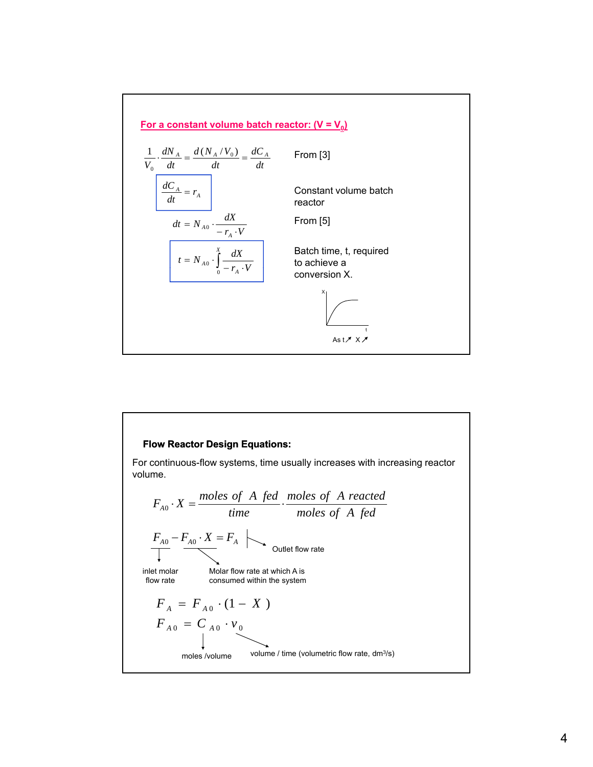

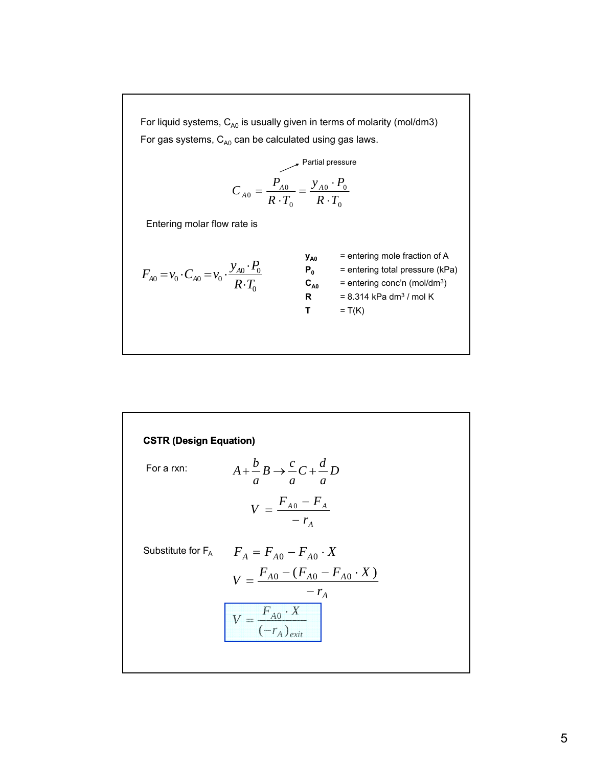For liquid systems,  $C_{A0}$  is usually given in terms of molarity (mol/dm3) For gas systems,  $C_{A0}$  can be calculated using gas laws.

$$
C_{A0} = \frac{P_{A0}}{R \cdot T_0} = \frac{y_{A0} \cdot P_0}{R \cdot T_0}
$$

Entering molar flow rate is

$$
F_{A0} = v_0 \cdot C_{A0} = v_0 \cdot \frac{y_{A0} \cdot P_0}{R \cdot T_0}
$$

$$
y_{A0} = \text{entering mole fraction of A}
$$
  
\n
$$
= \text{entering mole fraction of A}
$$
  
\n
$$
P_0 = \text{entering total pressure (kPa)}
$$
  
\n
$$
P_0 = \text{entering total pressure (kPa)}
$$
  
\n
$$
= \text{entering total pressure (kPa)}
$$
  
\n
$$
R = \text{entering total pressure (kPa)}
$$
  
\n
$$
= \text{entering total pressure (kPa)}
$$
  
\n
$$
= \text{entering total pressure (kPa)}
$$
  
\n
$$
= \text{entering total pressure (kPa)}
$$
  
\n
$$
= \text{entering total pressure (kPa)}
$$
  
\n
$$
= \text{entering total pressure (kPa)}
$$
  
\n
$$
= \text{entering color'n (mol/dm³)}
$$
  
\n
$$
= \text{T(K)}
$$

**CSTR (Design Equation)**

\nFor a rxn:

\n
$$
A + \frac{b}{a}B \rightarrow \frac{c}{a}C + \frac{d}{a}D
$$
\n
$$
V = \frac{F_{A0} - F_A}{-r_A}
$$
\nSubstitute for  $F_A$ 

\n
$$
F_A = F_{A0} - F_{A0} \cdot X
$$
\n
$$
V = \frac{F_{A0} - (F_{A0} - F_{A0} \cdot X)}{-r_A}
$$
\n
$$
V = \frac{F_{A0} \cdot X}{(-r_A)_{exit}}
$$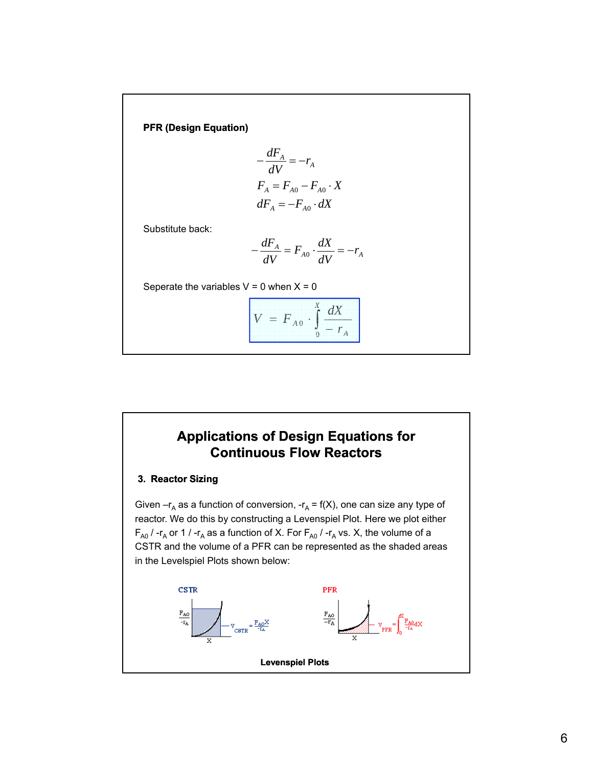**PFR (Design Equation)**

$$
-\frac{dF_A}{dV} = -r_A
$$
  
\n
$$
F_A = F_{A0} - F_{A0} \cdot X
$$
  
\n
$$
dF_A = -F_{A0} \cdot dX
$$

Substitute back:

$$
-\frac{dF_A}{dV} = F_{A0} \cdot \frac{dX}{dV} = -r_A
$$

Seperate the variables  $V = 0$  when  $X = 0$ 

$$
V = F_{A0} \cdot \int_{0}^{X} \frac{dX}{-r_A}
$$

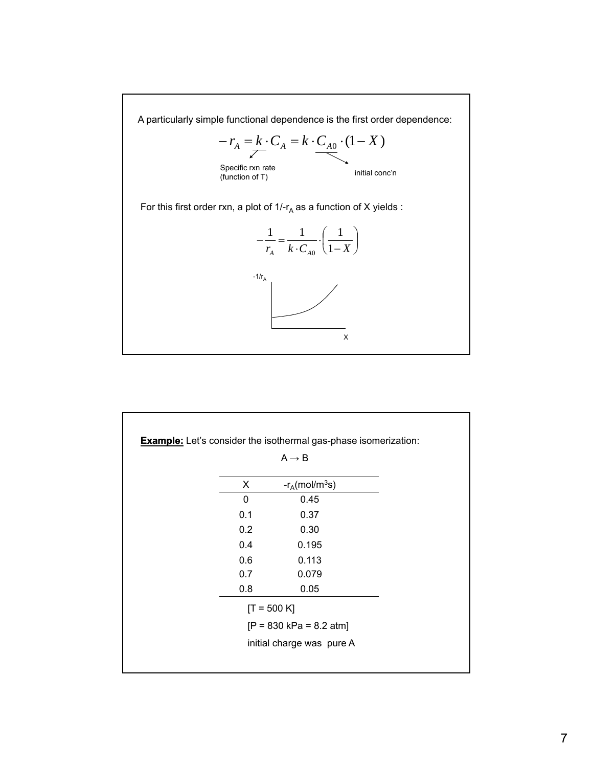

|              | $A \rightarrow B$             |  |
|--------------|-------------------------------|--|
| X            | $-r_A$ (mol/m <sup>3</sup> s) |  |
| $\mathbf{0}$ | 0.45                          |  |
| 0.1          | 0.37                          |  |
| 0.2          | 0.30                          |  |
| 0.4          | 0.195                         |  |
| 0.6          | 0.113                         |  |
| 0.7          | 0.079                         |  |
| 0.8          | 0.05                          |  |
|              | $[T = 500 K]$                 |  |
|              | $[P = 830 kPa = 8.2 atm]$     |  |
|              | initial charge was pure A     |  |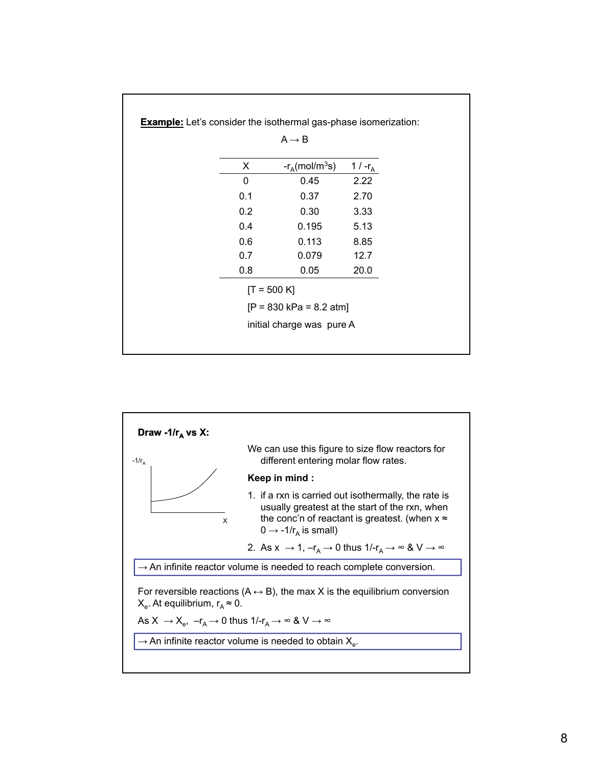|     | $A \rightarrow B$             |            |
|-----|-------------------------------|------------|
| X   | $-r_A$ (mol/m <sup>3</sup> s) | 1 / $-r_A$ |
| 0   | 0.45                          | 2.22       |
| 0.1 | 0.37                          | 2.70       |
| 0.2 | 0.30                          | 3.33       |
| 0.4 | 0.195                         | 5.13       |
| 0.6 | 0.113                         | 8.85       |
| 0.7 | 0.079                         | 12.7       |
| 0.8 | 0.05                          | 20.0       |
|     | $[T = 500 K]$                 |            |
|     | $[P = 830 kPa = 8.2 atm]$     |            |
|     | initial charge was pure A     |            |

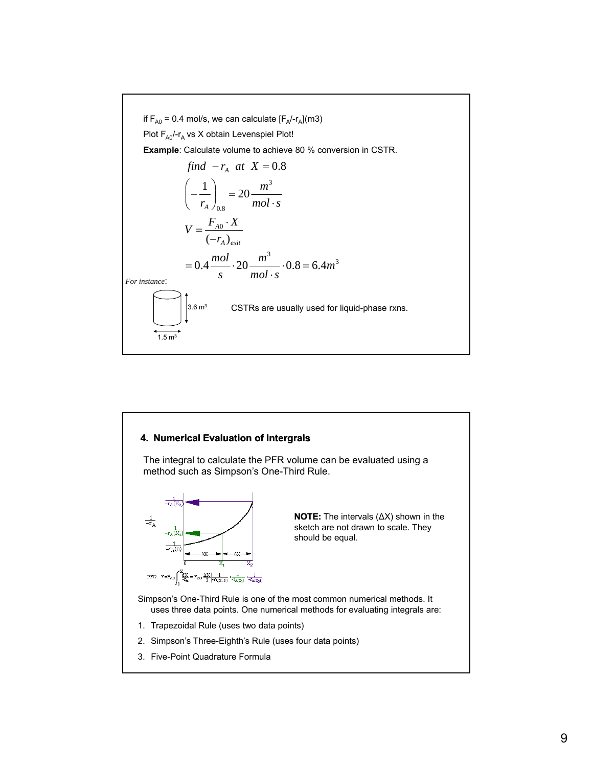

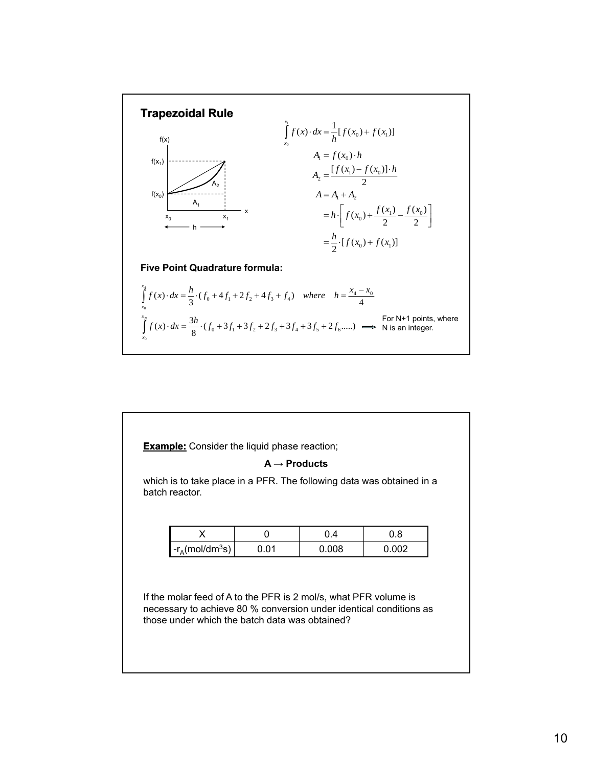

| batch reactor.                       |      | which is to take place in a PFR. The following data was obtained in a |       |
|--------------------------------------|------|-----------------------------------------------------------------------|-------|
| X                                    | 0    | 0.4                                                                   | 0.8   |
| $-r_{\rm A}$ (mol/dm <sup>3</sup> s) | 0.01 | 0.008                                                                 | 0.002 |
|                                      |      |                                                                       |       |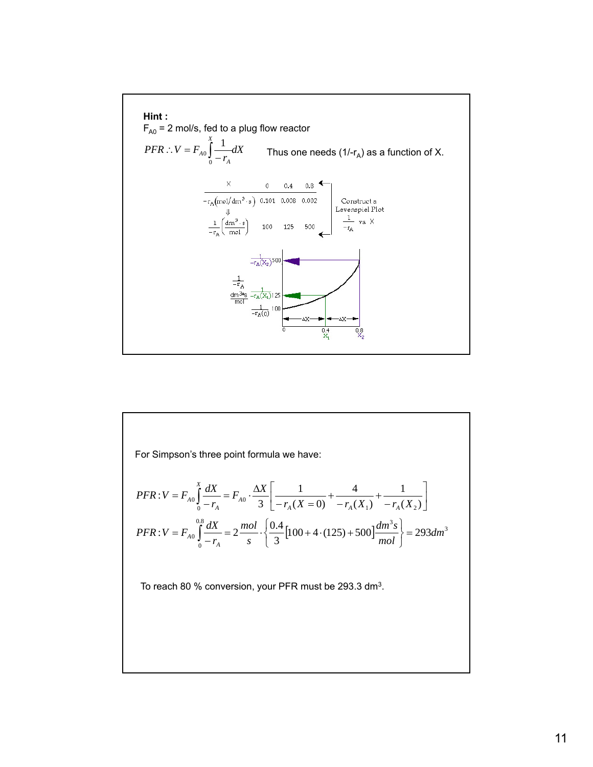

 $\overline{0}$   $\overline{1}$   $\overline{1}$   $\overline{4}$   $\overline{0}$  $PFR: V = F_{A0} \int_{0}^{X} \frac{dX}{dx} = F_{A0} \cdot \frac{\Delta X}{2} \left[ \frac{1}{\sqrt{(X-A)^2}} + \frac{4}{\sqrt{(X-A)^2}} + \frac{1}{\sqrt{(X-A)^2}} \right]$  $V = F_{A0} \int_{0}^{X} \frac{dX}{-r_A} = F_{A0} \cdot \frac{\Delta X}{3} \left[ \frac{1}{-r_A(X=0)} + \frac{4}{-r_A(X_1)} + \frac{1}{-r_A(X_2)} \right]$ For Simpson's three point formula we have:  $\int_{0}^{8} \frac{dX}{dx} = 2 \frac{mol}{\sqrt{64}} \left[ 100 + 4 \cdot (125) + 500 \right] \frac{dm^3 s}{m} = 293 dm^3$ 0  $\frac{1}{100}$  = 2 $\frac{1000}{2}$   $\cdot \left\{ \frac{0.4}{2} [100 + 4 \cdot (125) + 500] \frac{1000}{2} \right\}$  = 293 3  $V = F_{A0} \int_{0}^{0.8} \frac{dX}{dx} = 2 \frac{mol}{\sqrt{2}} \left[ 100 + 4 \cdot (125) + 500 \right] \frac{dm^3 s}{m} = 293 dm$ *mol*  $dm^3s$ *s mol r*  $PFR$  :  $V = F_{A0} \int^{0.8} \frac{dX}{f}$ *A*  $\frac{d^{2}A_{A0}}{d^{2}} = 2 \frac{m \omega}{2} \cdot \left\{ \frac{0.4 \times 100}{2} [100 + 4 \cdot (125) + 500] \frac{dm \text{ m}}{d^{2}L} \right\} =$ ⎭  $\left\{ \right.$  $\vert$  $\overline{a}$  $= F_{A0} \int_{0}^{0.8} \frac{dX}{-r_A} = 2 \frac{mol}{s} \cdot \left\{ \frac{0.4}{3} \left[ 100 + 4 \cdot (125) + \right. \right.$ To reach 80 % conversion, your PFR must be 293.3 dm<sup>3</sup>.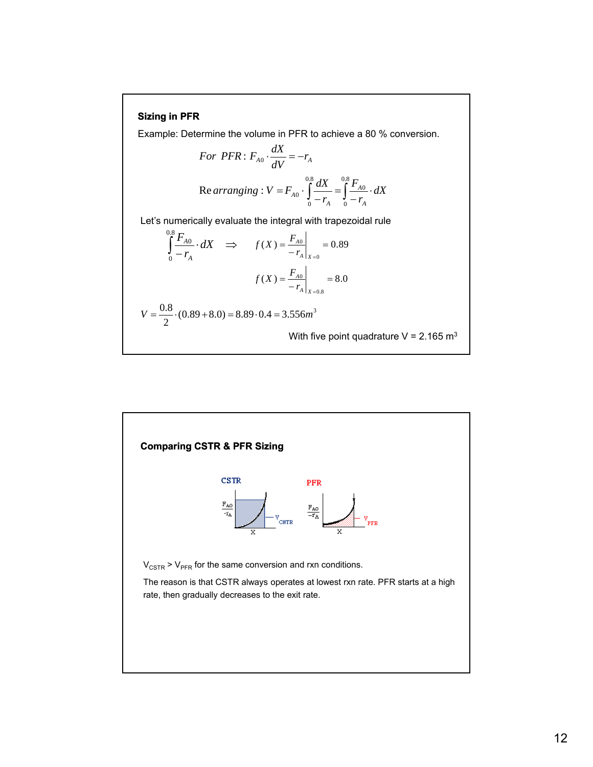### **Sizing in PFR**

Example: Determine the volume in PFR to achieve a 80 % conversion.

For *PFR*: 
$$
F_{A0} \cdot \frac{dX}{dV} = -r_A
$$
  
Re *arranging*:  $V = F_{A0} \cdot \int_{0}^{0.8} \frac{dX}{-r_A} = \int_{0}^{0.8} \frac{F_{A0}}{-r_A} \cdot dX$ 

Let's numerically evaluate the integral with trapezoidal rule

$$
\int_{0}^{0.8} \frac{F_{A0}}{-r_{A}} \cdot dX \implies f(X) = \frac{F_{A0}}{-r_{A}} \bigg|_{X=0} = 0.89
$$

$$
f(X) = \frac{F_{A0}}{-r_{A}} \bigg|_{X=0.8} = 8.0
$$

$$
V = \frac{0.8}{2} \cdot (0.89 + 8.0) = 8.89 \cdot 0.4 = 3.556 m^{3}
$$

With five point quadrature V =  $2.165$  m<sup>3</sup>

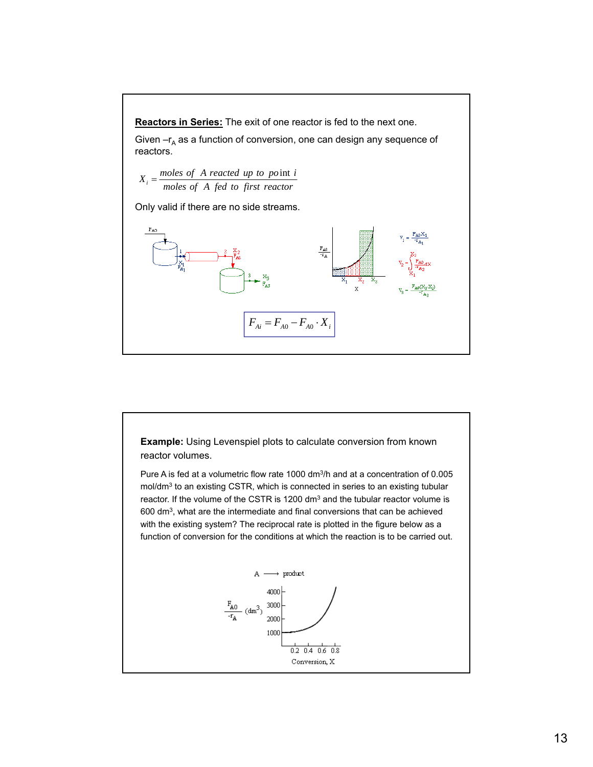

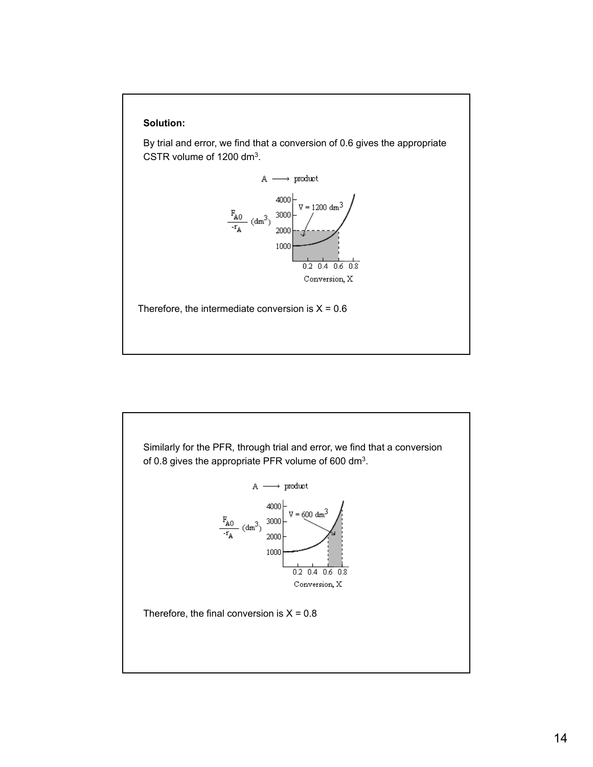

By trial and error, we find that a conversion of 0.6 gives the appropriate CSTR volume of 1200 dm3.



Therefore, the intermediate conversion is  $X = 0.6$ 

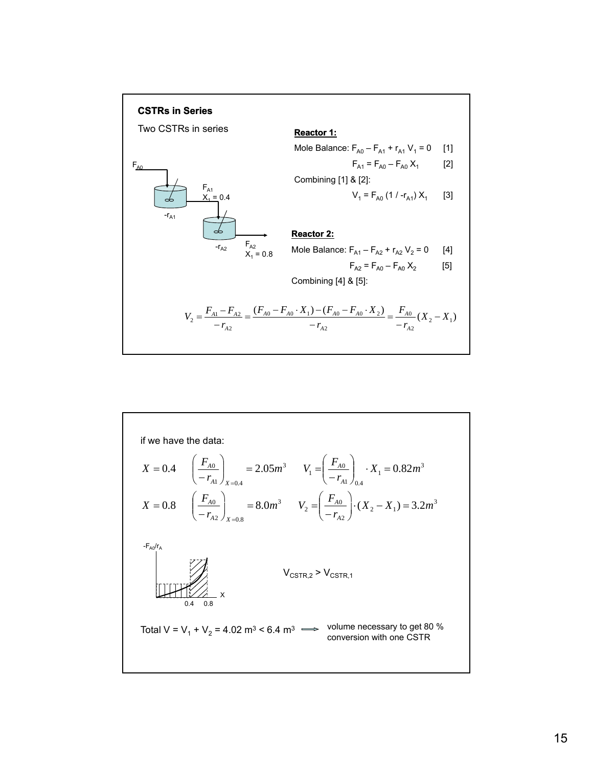

if we have the data:  
\n
$$
X = 0.4
$$
  $\left(\frac{F_{A0}}{-r_{A1}}\right)_{X=0.4} = 2.05m^3$   $V_1 = \left(\frac{F_{A0}}{-r_{A1}}\right)_{0.4} \cdot X_1 = 0.82m^3$   
\n $X = 0.8$   $\left(\frac{F_{A0}}{-r_{A2}}\right)_{X=0.8} = 8.0m^3$   $V_2 = \left(\frac{F_{A0}}{-r_{A2}}\right) \cdot (X_2 - X_1) = 3.2m^3$   
\n $\left.\frac{F_{A0}/r_A}{r_{A2}}\right|_{X=0.8}$   $V_{\text{CSTR},2} > V_{\text{CSTR},1}$   
\n $V_{\text{CSTR},2} > V_{\text{CSTR},1}$   
\n $V_{\text{CSTR},3} > V_{\text{CSTR},1}$   
\nTotal V = V<sub>1</sub> + V<sub>2</sub> = 4.02 m<sup>3</sup> < 6.4 m<sup>3</sup>  $\Longrightarrow$  volume necessary to get 80 % conversion with one CSTR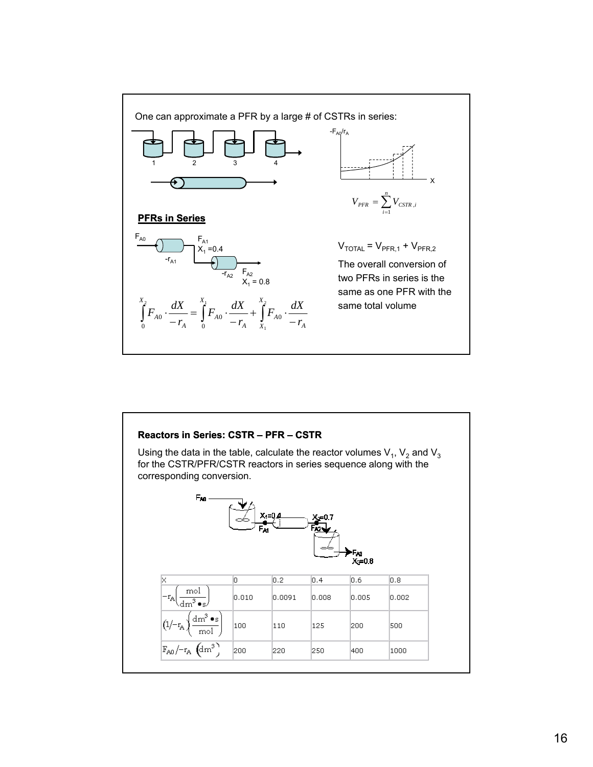

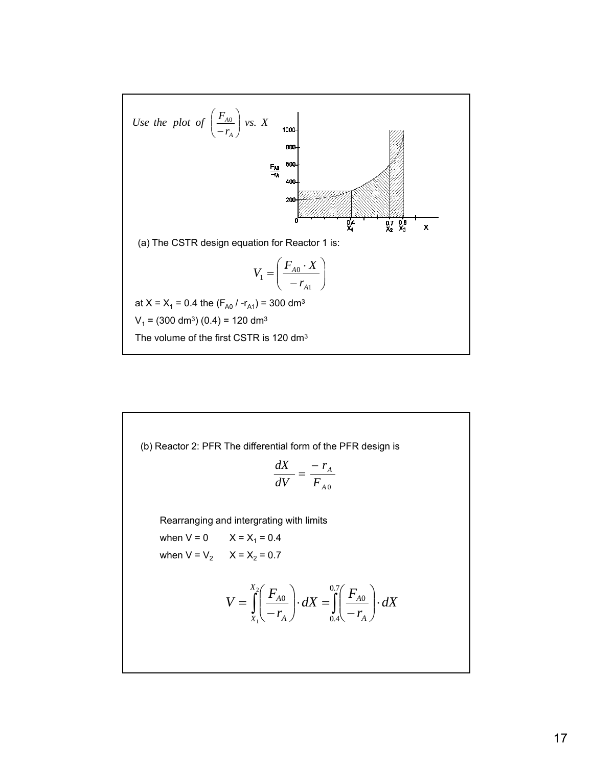

(b) Reactor 2: PFR The differential form of the PFR design is

$$
\frac{dX}{dV} = \frac{-r_A}{F_{A0}}
$$

Rearranging and intergrating with limits

when  $V = 0$   $X = X_1 = 0.4$ when  $V = V_2$   $X = X_2 = 0.7$ 

$$
V = \int_{X_1}^{X_2} \left( \frac{F_{A0}}{-r_A} \right) \cdot dX = \int_{0.4}^{0.7} \left( \frac{F_{A0}}{-r_A} \right) \cdot dX
$$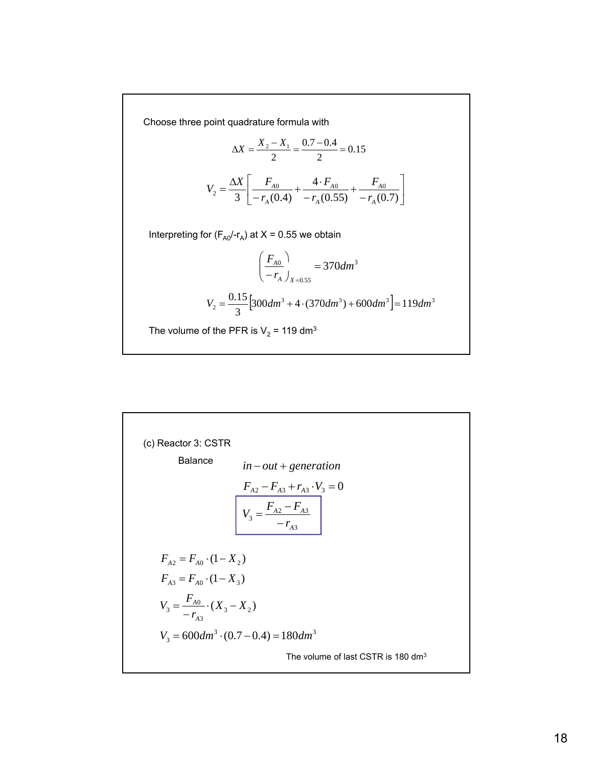Choose three point quadrature formula with

$$
\Delta X = \frac{X_2 - X_1}{2} = \frac{0.7 - 0.4}{2} = 0.15
$$

$$
V_2 = \frac{\Delta X}{3} \left[ \frac{F_{A0}}{-r_A(0.4)} + \frac{4 \cdot F_{A0}}{-r_A(0.55)} + \frac{F_{A0}}{-r_A(0.7)} \right]
$$

Interpreting for  $(F_{A0}/r_A)$  at  $X = 0.55$  we obtain

$$
\left(\frac{F_{A0}}{-r_A}\right)_{X=0.55} = 370dm^3
$$

$$
V_2 = \frac{0.15}{3} \left[300dm^3 + 4 \cdot (370dm^3) + 600dm^3\right] = 119dm^3
$$

The volume of the PFR is  $V_2$  = 119 dm<sup>3</sup>

(c) Reactor 3: CSTR  
\nBalance 
$$
in - out + generation
$$
  
\n $F_{A2} - F_{A3} + r_{A3} \cdot V_3 = 0$   
\n $V_3 = \frac{F_{A2} - F_{A3}}{-r_{A3}}$   
\n $F_{A2} = F_{A0} \cdot (1 - X_2)$   
\n $F_{A3} = F_{A0} \cdot (1 - X_3)$   
\n $V_3 = \frac{F_{A0}}{-r_{A3}} \cdot (X_3 - X_2)$   
\n $V_3 = 600 dm^3 \cdot (0.7 - 0.4) = 180 dm^3$   
\nThe volume of last CSTR is 180 dm<sup>3</sup>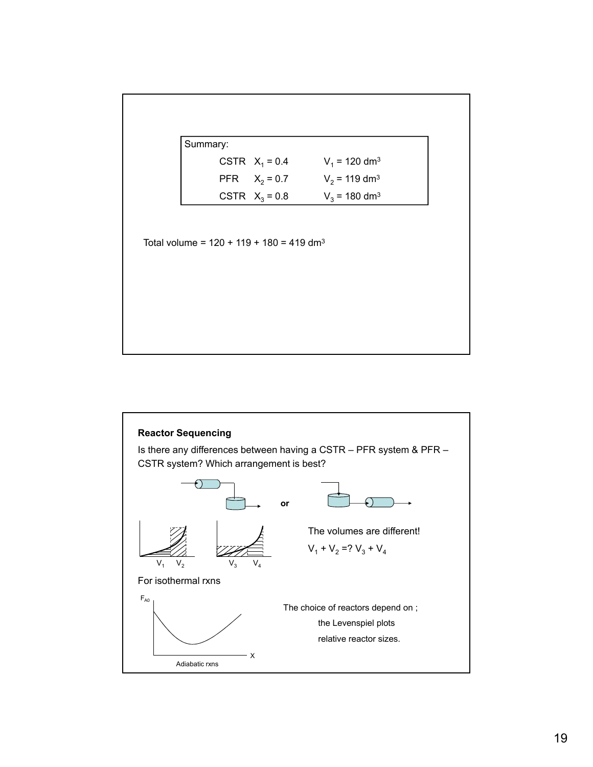

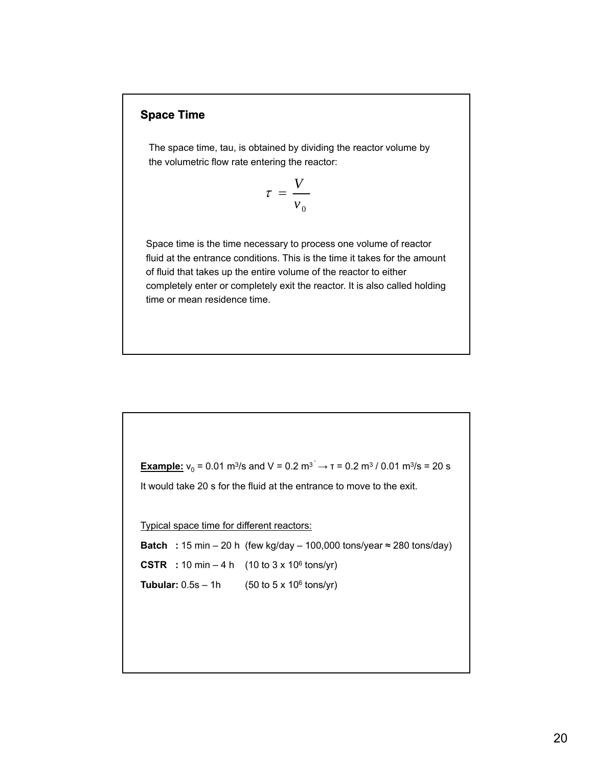### **Space Time**

The space time, tau, is obtained by dividing the reactor volume by the volumetric flow rate entering the reactor:

> *V*  $v_{0}$  $\tau =$

Space time is the time necessary to process one volume of reactor fluid at the entrance conditions. This is the time it takes for the amount of fluid that takes up the entire volume of the reactor to either completely enter or completely exit the reactor. It is also called holding time or mean residence time.

**Example:**  $v_0 = 0.01$  m<sup>3</sup>/s and V = 0.2 m<sup>3</sup>  $\rightarrow$  T = 0.2 m<sup>3</sup> / 0.01 m<sup>3</sup>/s = 20 s It would take 20 s for the fluid at the entrance to move to the exit. Typical space time for different reactors: **Batch** : 15 min – 20 h (few kg/day – 100,000 tons/year  $\approx$  280 tons/day) **CSTR** : 10 min – 4 h (10 to  $3 \times 10^6$  tons/yr) **Tubular:**  $0.5s - 1h$  (50 to 5 x 10<sup>6</sup> tons/yr)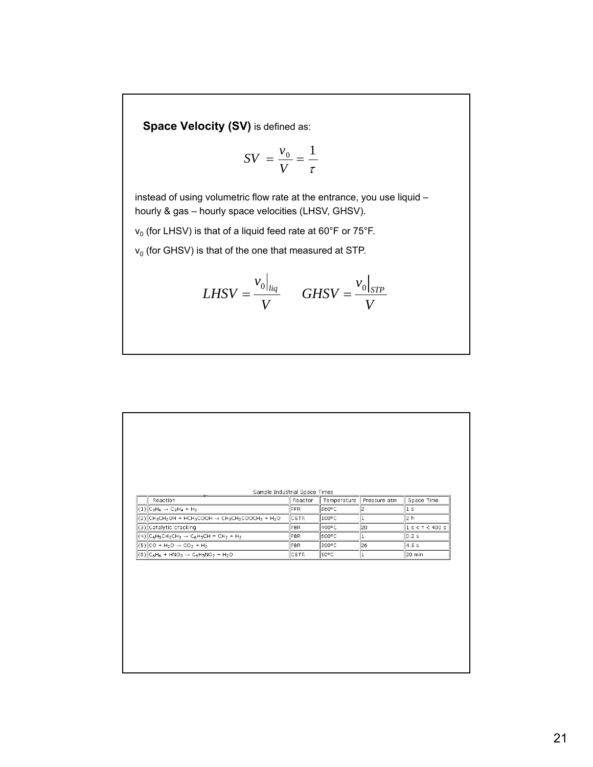**Space Velocity (SV)** is defined as:

$$
SV = \frac{v_0}{V} = \frac{1}{\tau}
$$

instead of using volumetric flow rate at the entrance, you use liquid – hourly & gas – hourly space velocities (LHSV, GHSV).

 $v_0$  (for LHSV) is that of a liquid feed rate at 60°F or 75°F.

 $v_0$  (for GHSV) is that of the one that measured at STP.

$$
LHSV = \frac{v_0|_{liq}}{V} \qquad GHSV = \frac{v_0|_{STP}}{V}
$$

| Sample Industrial Space Times                                |             |             |              |                  |
|--------------------------------------------------------------|-------------|-------------|--------------|------------------|
| Reaction                                                     | Reactor     | Temperature | Pressure atm | Space Time       |
| $ (1) C_2H_6 \to C_2H_4 + H_2$                               | <b>PFR</b>  | 860°C       | 2            | 1 s              |
| $ (2) $ CH3CH2OH + HCH3COOH $\rightarrow$ CH3CH2COOCH3 + H2O | <b>CSTR</b> | 100°C       | 1            | 2 <sub>h</sub>   |
| (3) Catalytic cracking                                       | PBR         | 490°C       | 20           | 1 s < r < 400 s  |
| $ (4)  C_6H_5CH_2CH_3 \rightarrow C_6H_5CH = CH_2 + H_2$     | <b>PBR</b>  | l600°C.     | 1            | 0.2 s            |
| $ (5) CO + H2O \rightarrow CO2 + H2$                         | <b>PBR</b>  | 300°C       | 26           | 4.5 <sub>s</sub> |
| $ (6) C_6H_6 + HNO_3 \rightarrow C_6H_5NO_2 + H_2O$          | <b>CSTR</b> | so°c        | $\vert$ 1    | 20 min           |
|                                                              |             |             |              |                  |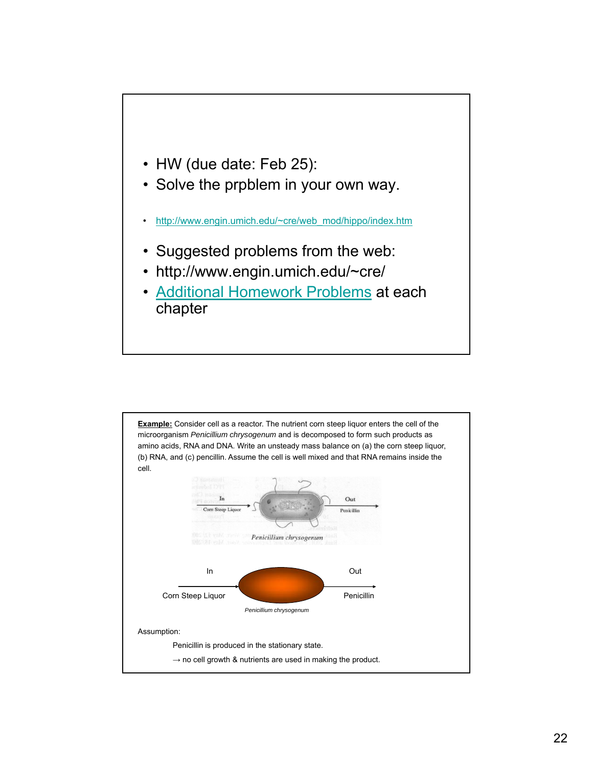

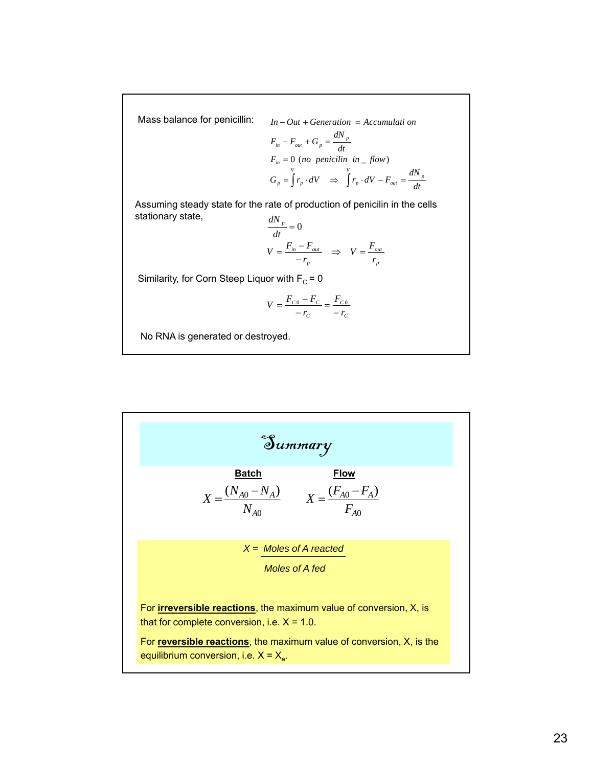Mass balance for penicillin:

$$
In - Out + Generation = Accumulati on
$$
  
\n
$$
F_{in} + F_{out} + G_p = \frac{dN_p}{dt}
$$
  
\n
$$
F_{in} = 0 \text{ (no penicilin in } flow)
$$
  
\n
$$
G_p = \int r_p \cdot dV \implies \int r_p \cdot dV - F_{out} = \frac{dN_p}{dt}
$$

Assuming steady state for the rate of production of penicilin in the cells stationary state, *dN*

$$
\frac{u_1 v_p}{dt} = 0
$$
  

$$
V = \frac{F_{in} - F_{out}}{-r_p} \implies V = \frac{F_{out}}{r_p}
$$

Similarity, for Corn Steep Liquor with  $F_c = 0$ 

$$
V = \frac{F_{C0} - F_C}{-r_C} = \frac{F_{C0}}{-r_C}
$$

No RNA is generated or destroyed.